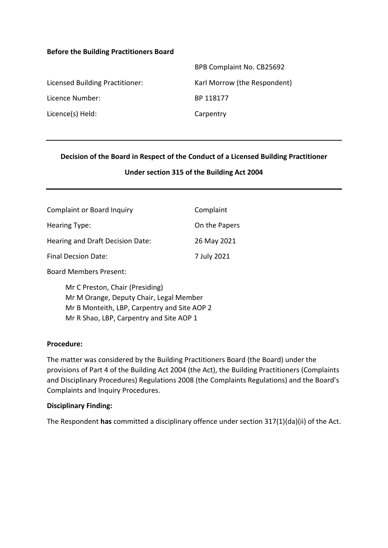#### **Before the Building Practitioners Board**

|                                 | BPB Complaint No. CB25692    |
|---------------------------------|------------------------------|
| Licensed Building Practitioner: | Karl Morrow (the Respondent) |
| Licence Number:                 | BP 118177                    |
| Licence(s) Held:                | Carpentry                    |

### **Decision of the Board in Respect of the Conduct of a Licensed Building Practitioner**

#### **Under section 315 of the Building Act 2004**

| <b>Complaint or Board Inquiry</b> | Complaint     |
|-----------------------------------|---------------|
| Hearing Type:                     | On the Papers |
| Hearing and Draft Decision Date:  | 26 May 2021   |
| Final Decsion Date:               | 7 July 2021   |

Board Members Present:

Mr C Preston, Chair (Presiding) Mr M Orange, Deputy Chair, Legal Member Mr B Monteith, LBP, Carpentry and Site AOP 2 Mr R Shao, LBP, Carpentry and Site AOP 1

#### **Procedure:**

The matter was considered by the Building Practitioners Board (the Board) under the provisions of Part 4 of the Building Act 2004 (the Act), the Building Practitioners (Complaints and Disciplinary Procedures) Regulations 2008 (the Complaints Regulations) and the Board's Complaints and Inquiry Procedures.

#### **Disciplinary Finding:**

The Respondent **has** committed a disciplinary offence under section 317(1)(da)(ii) of the Act.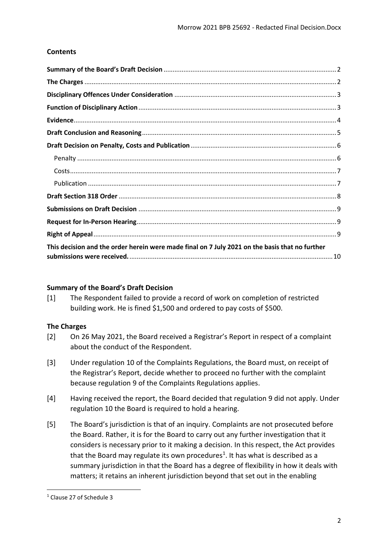# **Contents**

| This decision and the order herein were made final on 7 July 2021 on the basis that no further |  |
|------------------------------------------------------------------------------------------------|--|

### <span id="page-1-0"></span>**Summary of the Board's Draft Decision**

[1] The Respondent failed to provide a record of work on completion of restricted building work. He is fined \$1,500 and ordered to pay costs of \$500.

### <span id="page-1-1"></span>**The Charges**

- [2] On 26 May 2021, the Board received a Registrar's Report in respect of a complaint about the conduct of the Respondent.
- [3] Under regulation 10 of the Complaints Regulations, the Board must, on receipt of the Registrar's Report, decide whether to proceed no further with the complaint because regulation 9 of the Complaints Regulations applies.
- [4] Having received the report, the Board decided that regulation 9 did not apply. Under regulation 10 the Board is required to hold a hearing.
- [5] The Board's jurisdiction is that of an inquiry. Complaints are not prosecuted before the Board. Rather, it is for the Board to carry out any further investigation that it considers is necessary prior to it making a decision. In this respect, the Act provides that the Board may regulate its own procedures<sup>1</sup>. It has what is described as a summary jurisdiction in that the Board has a degree of flexibility in how it deals with matters; it retains an inherent jurisdiction beyond that set out in the enabling

<sup>1</sup> Clause 27 of Schedule 3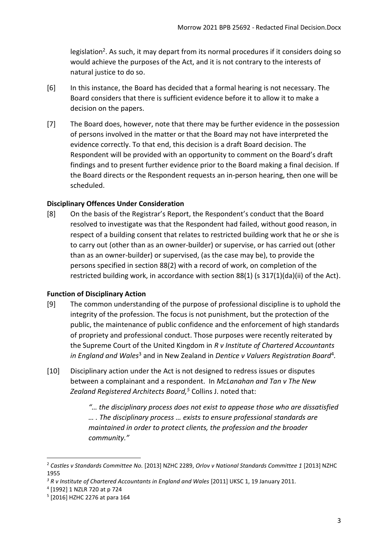legislation<sup>2</sup>. As such, it may depart from its normal procedures if it considers doing so would achieve the purposes of the Act, and it is not contrary to the interests of natural justice to do so.

- [6] In this instance, the Board has decided that a formal hearing is not necessary. The Board considers that there is sufficient evidence before it to allow it to make a decision on the papers.
- [7] The Board does, however, note that there may be further evidence in the possession of persons involved in the matter or that the Board may not have interpreted the evidence correctly. To that end, this decision is a draft Board decision. The Respondent will be provided with an opportunity to comment on the Board's draft findings and to present further evidence prior to the Board making a final decision. If the Board directs or the Respondent requests an in-person hearing, then one will be scheduled.

# <span id="page-2-0"></span>**Disciplinary Offences Under Consideration**

[8] On the basis of the Registrar's Report, the Respondent's conduct that the Board resolved to investigate was that the Respondent had failed, without good reason, in respect of a building consent that relates to restricted building work that he or she is to carry out (other than as an owner-builder) or supervise, or has carried out (other than as an owner-builder) or supervised, (as the case may be), to provide the persons specified in section 88(2) with a record of work, on completion of the restricted building work, in accordance with section 88(1) (s 317(1)(da)(ii) of the Act).

### <span id="page-2-1"></span>**Function of Disciplinary Action**

- [9] The common understanding of the purpose of professional discipline is to uphold the integrity of the profession. The focus is not punishment, but the protection of the public, the maintenance of public confidence and the enforcement of high standards of propriety and professional conduct. Those purposes were recently reiterated by the Supreme Court of the United Kingdom in *R v Institute of Chartered Accountants*  in England and Wales<sup>3</sup> and in New Zealand in Dentice v Valuers Registration Board<sup>4</sup>.
- [10] Disciplinary action under the Act is not designed to redress issues or disputes between a complainant and a respondent. In *McLanahan and Tan v The New Zealand Registered Architects Board, <sup>5</sup>* Collins J. noted that:

*"… the disciplinary process does not exist to appease those who are dissatisfied … . The disciplinary process … exists to ensure professional standards are maintained in order to protect clients, the profession and the broader community."*

<sup>2</sup> *Castles v Standards Committee No.* [2013] NZHC 2289, *Orlov v National Standards Committee 1* [2013] NZHC 1955

<sup>&</sup>lt;sup>3</sup> R v Institute of Chartered Accountants in England and Wales [2011] UKSC 1, 19 January 2011.

<sup>4</sup> [1992] 1 NZLR 720 at p 724

<sup>5</sup> [2016] HZHC 2276 at para 164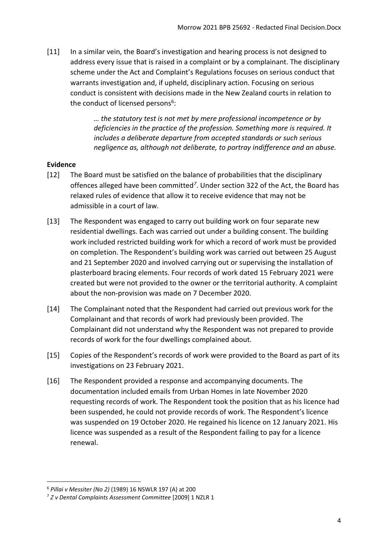[11] In a similar vein, the Board's investigation and hearing process is not designed to address every issue that is raised in a complaint or by a complainant. The disciplinary scheme under the Act and Complaint's Regulations focuses on serious conduct that warrants investigation and, if upheld, disciplinary action. Focusing on serious conduct is consistent with decisions made in the New Zealand courts in relation to the conduct of licensed persons<sup>6</sup>:

> *… the statutory test is not met by mere professional incompetence or by deficiencies in the practice of the profession. Something more is required. It includes a deliberate departure from accepted standards or such serious negligence as, although not deliberate, to portray indifference and an abuse.*

# <span id="page-3-0"></span>**Evidence**

- [12] The Board must be satisfied on the balance of probabilities that the disciplinary offences alleged have been committed*<sup>7</sup>* . Under section 322 of the Act, the Board has relaxed rules of evidence that allow it to receive evidence that may not be admissible in a court of law.
- [13] The Respondent was engaged to carry out building work on four separate new residential dwellings. Each was carried out under a building consent. The building work included restricted building work for which a record of work must be provided on completion. The Respondent's building work was carried out between 25 August and 21 September 2020 and involved carrying out or supervising the installation of plasterboard bracing elements. Four records of work dated 15 February 2021 were created but were not provided to the owner or the territorial authority. A complaint about the non-provision was made on 7 December 2020.
- [14] The Complainant noted that the Respondent had carried out previous work for the Complainant and that records of work had previously been provided. The Complainant did not understand why the Respondent was not prepared to provide records of work for the four dwellings complained about.
- [15] Copies of the Respondent's records of work were provided to the Board as part of its investigations on 23 February 2021.
- [16] The Respondent provided a response and accompanying documents. The documentation included emails from Urban Homes in late November 2020 requesting records of work. The Respondent took the position that as his licence had been suspended, he could not provide records of work. The Respondent's licence was suspended on 19 October 2020. He regained his licence on 12 January 2021. His licence was suspended as a result of the Respondent failing to pay for a licence renewal.

1

<sup>6</sup> *Pillai v Messiter (No 2)* (1989) 16 NSWLR 197 (A) at 200

<sup>7</sup> *Z v Dental Complaints Assessment Committee* [2009] 1 NZLR 1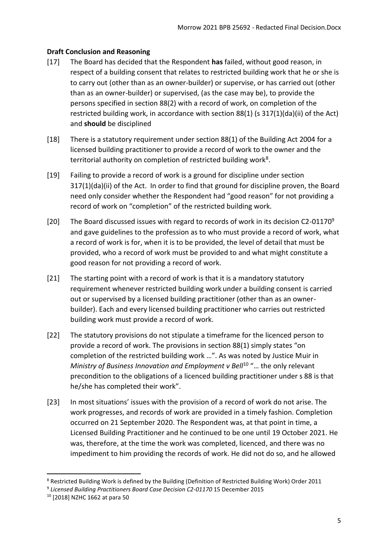# <span id="page-4-0"></span>**Draft Conclusion and Reasoning**

- [17] The Board has decided that the Respondent **has** failed, without good reason, in respect of a building consent that relates to restricted building work that he or she is to carry out (other than as an owner-builder) or supervise, or has carried out (other than as an owner-builder) or supervised, (as the case may be), to provide the persons specified in section 88(2) with a record of work, on completion of the restricted building work, in accordance with section 88(1) (s 317(1)(da)(ii) of the Act) and **should** be disciplined
- [18] There is a statutory requirement under section 88(1) of the Building Act 2004 for a licensed building practitioner to provide a record of work to the owner and the territorial authority on completion of restricted building work<sup>8</sup>.
- [19] Failing to provide a record of work is a ground for discipline under section 317(1)(da)(ii) of the Act. In order to find that ground for discipline proven, the Board need only consider whether the Respondent had "good reason" for not providing a record of work on "completion" of the restricted building work.
- [20] The Board discussed issues with regard to records of work in its decision C2-01170 $9$ and gave guidelines to the profession as to who must provide a record of work, what a record of work is for, when it is to be provided, the level of detail that must be provided, who a record of work must be provided to and what might constitute a good reason for not providing a record of work.
- [21] The starting point with a record of work is that it is a mandatory statutory requirement whenever restricted building work under a building consent is carried out or supervised by a licensed building practitioner (other than as an ownerbuilder). Each and every licensed building practitioner who carries out restricted building work must provide a record of work.
- [22] The statutory provisions do not stipulate a timeframe for the licenced person to provide a record of work. The provisions in section 88(1) simply states "on completion of the restricted building work …". As was noted by Justice Muir in *Ministry of Business Innovation and Employment v Bell<sup>10</sup> "... the only relevant* precondition to the obligations of a licenced building practitioner under s 88 is that he/she has completed their work".
- [23] In most situations' issues with the provision of a record of work do not arise. The work progresses, and records of work are provided in a timely fashion. Completion occurred on 21 September 2020. The Respondent was, at that point in time, a Licensed Building Practitioner and he continued to be one until 19 October 2021. He was, therefore, at the time the work was completed, licenced, and there was no impediment to him providing the records of work. He did not do so, and he allowed

**<sup>.</sup>** <sup>8</sup> Restricted Building Work is defined by the Building (Definition of Restricted Building Work) Order 2011 <sup>9</sup> Licensed Building Practitioners Board Case Decision C2-01170 15 December 2015

<sup>10</sup> [2018] NZHC 1662 at para 50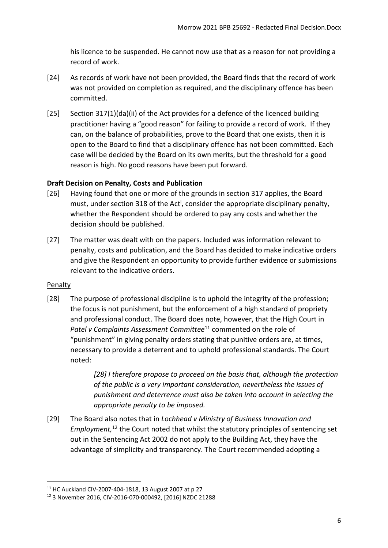his licence to be suspended. He cannot now use that as a reason for not providing a record of work.

- [24] As records of work have not been provided, the Board finds that the record of work was not provided on completion as required, and the disciplinary offence has been committed.
- [25] Section 317(1)(da)(ii) of the Act provides for a defence of the licenced building practitioner having a "good reason" for failing to provide a record of work. If they can, on the balance of probabilities, prove to the Board that one exists, then it is open to the Board to find that a disciplinary offence has not been committed. Each case will be decided by the Board on its own merits, but the threshold for a good reason is high. No good reasons have been put forward.

# <span id="page-5-0"></span>**Draft Decision on Penalty, Costs and Publication**

- [26] Having found that one or more of the grounds in section 317 applies, the Board must, under section 318 of the Act<sup>i</sup>, consider the appropriate disciplinary penalty, whether the Respondent should be ordered to pay any costs and whether the decision should be published.
- [27] The matter was dealt with on the papers. Included was information relevant to penalty, costs and publication, and the Board has decided to make indicative orders and give the Respondent an opportunity to provide further evidence or submissions relevant to the indicative orders.

# <span id="page-5-1"></span>Penalty

1

[28] The purpose of professional discipline is to uphold the integrity of the profession; the focus is not punishment, but the enforcement of a high standard of propriety and professional conduct. The Board does note, however, that the High Court in Patel v Complaints Assessment Committee<sup>11</sup> commented on the role of "punishment" in giving penalty orders stating that punitive orders are, at times, necessary to provide a deterrent and to uphold professional standards. The Court noted:

> *[28] I therefore propose to proceed on the basis that, although the protection of the public is a very important consideration, nevertheless the issues of punishment and deterrence must also be taken into account in selecting the appropriate penalty to be imposed.*

[29] The Board also notes that in *Lochhead v Ministry of Business Innovation and Employment,* <sup>12</sup> the Court noted that whilst the statutory principles of sentencing set out in the Sentencing Act 2002 do not apply to the Building Act, they have the advantage of simplicity and transparency. The Court recommended adopting a

<sup>11</sup> HC Auckland CIV-2007-404-1818, 13 August 2007 at p 27

<sup>12</sup> 3 November 2016, CIV-2016-070-000492, [2016] NZDC 21288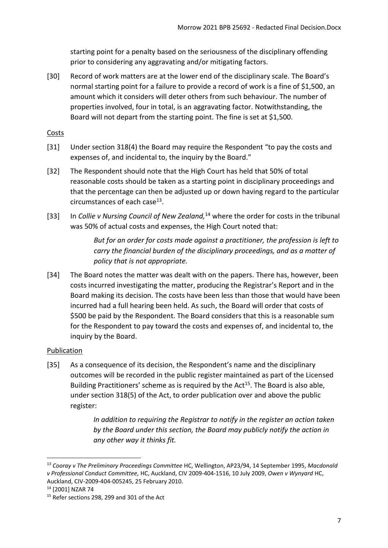starting point for a penalty based on the seriousness of the disciplinary offending prior to considering any aggravating and/or mitigating factors.

[30] Record of work matters are at the lower end of the disciplinary scale. The Board's normal starting point for a failure to provide a record of work is a fine of \$1,500, an amount which it considers will deter others from such behaviour. The number of properties involved, four in total, is an aggravating factor. Notwithstanding, the Board will not depart from the starting point. The fine is set at \$1,500.

## <span id="page-6-0"></span>**Costs**

- [31] Under section 318(4) the Board may require the Respondent "to pay the costs and expenses of, and incidental to, the inquiry by the Board."
- [32] The Respondent should note that the High Court has held that 50% of total reasonable costs should be taken as a starting point in disciplinary proceedings and that the percentage can then be adjusted up or down having regard to the particular circumstances of each case<sup>13</sup>.
- [33] In *Collie v Nursing Council of New Zealand*,<sup>14</sup> where the order for costs in the tribunal was 50% of actual costs and expenses, the High Court noted that:

*But for an order for costs made against a practitioner, the profession is left to carry the financial burden of the disciplinary proceedings, and as a matter of policy that is not appropriate.*

[34] The Board notes the matter was dealt with on the papers. There has, however, been costs incurred investigating the matter, producing the Registrar's Report and in the Board making its decision. The costs have been less than those that would have been incurred had a full hearing been held. As such, the Board will order that costs of \$500 be paid by the Respondent. The Board considers that this is a reasonable sum for the Respondent to pay toward the costs and expenses of, and incidental to, the inquiry by the Board.

# <span id="page-6-1"></span>**Publication**

[35] As a consequence of its decision, the Respondent's name and the disciplinary outcomes will be recorded in the public register maintained as part of the Licensed Building Practitioners' scheme as is required by the Act<sup>15</sup>. The Board is also able, under section 318(5) of the Act, to order publication over and above the public register:

> *In addition to requiring the Registrar to notify in the register an action taken by the Board under this section, the Board may publicly notify the action in any other way it thinks fit.*

<sup>13</sup> *Cooray v The Preliminary Proceedings Committee* HC, Wellington, AP23/94, 14 September 1995, *Macdonald v Professional Conduct Committee,* HC, Auckland, CIV 2009-404-1516, 10 July 2009, *Owen v Wynyard* HC, Auckland, CIV-2009-404-005245, 25 February 2010.

<sup>14</sup> [2001] NZAR 74

<sup>&</sup>lt;sup>15</sup> Refer sections 298, 299 and 301 of the Act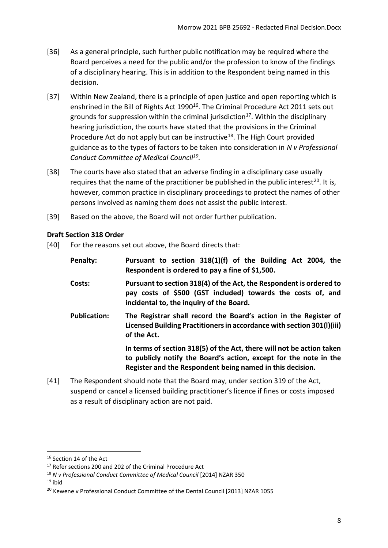- [36] As a general principle, such further public notification may be required where the Board perceives a need for the public and/or the profession to know of the findings of a disciplinary hearing. This is in addition to the Respondent being named in this decision.
- [37] Within New Zealand, there is a principle of open justice and open reporting which is enshrined in the Bill of Rights Act 1990<sup>16</sup>. The Criminal Procedure Act 2011 sets out grounds for suppression within the criminal jurisdiction<sup>17</sup>. Within the disciplinary hearing jurisdiction, the courts have stated that the provisions in the Criminal Procedure Act do not apply but can be instructive<sup>18</sup>. The High Court provided guidance as to the types of factors to be taken into consideration in *N v Professional Conduct Committee of Medical Council<sup>19</sup> .*
- [38] The courts have also stated that an adverse finding in a disciplinary case usually requires that the name of the practitioner be published in the public interest<sup>20</sup>. It is, however, common practice in disciplinary proceedings to protect the names of other persons involved as naming them does not assist the public interest.
- [39] Based on the above, the Board will not order further publication.

# <span id="page-7-0"></span>**Draft Section 318 Order**

[40] For the reasons set out above, the Board directs that:

| Penalty:            | Pursuant to section 318(1)(f) of the Building Act 2004, the<br>Respondent is ordered to pay a fine of \$1,500.                                                                                          |
|---------------------|---------------------------------------------------------------------------------------------------------------------------------------------------------------------------------------------------------|
| Costs:              | Pursuant to section 318(4) of the Act, the Respondent is ordered to<br>pay costs of \$500 (GST included) towards the costs of, and<br>incidental to, the inquiry of the Board.                          |
| <b>Publication:</b> | The Registrar shall record the Board's action in the Register of<br>Licensed Building Practitioners in accordance with section 301(I)(iii)<br>of the Act.                                               |
|                     | In terms of section 318(5) of the Act, there will not be action taken<br>to publicly notify the Board's action, except for the note in the<br>Register and the Respondent being named in this decision. |

[41] The Respondent should note that the Board may, under section 319 of the Act, suspend or cancel a licensed building practitioner's licence if fines or costs imposed as a result of disciplinary action are not paid.

 $19$  ibid

 $\overline{a}$ 

<sup>&</sup>lt;sup>16</sup> Section 14 of the Act

<sup>&</sup>lt;sup>17</sup> Refer sections 200 and 202 of the Criminal Procedure Act

<sup>18</sup> *N v Professional Conduct Committee of Medical Council* [2014] NZAR 350

<sup>&</sup>lt;sup>20</sup> Kewene v Professional Conduct Committee of the Dental Council [2013] NZAR 1055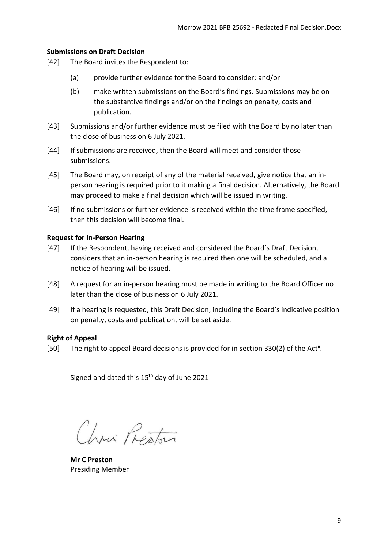### <span id="page-8-0"></span>**Submissions on Draft Decision**

- [42] The Board invites the Respondent to:
	- (a) provide further evidence for the Board to consider; and/or
	- (b) make written submissions on the Board's findings. Submissions may be on the substantive findings and/or on the findings on penalty, costs and publication.
- [43] Submissions and/or further evidence must be filed with the Board by no later than the close of business on 6 July 2021.
- [44] If submissions are received, then the Board will meet and consider those submissions.
- [45] The Board may, on receipt of any of the material received, give notice that an inperson hearing is required prior to it making a final decision. Alternatively, the Board may proceed to make a final decision which will be issued in writing.
- [46] If no submissions or further evidence is received within the time frame specified, then this decision will become final.

#### <span id="page-8-1"></span>**Request for In-Person Hearing**

- [47] If the Respondent, having received and considered the Board's Draft Decision, considers that an in-person hearing is required then one will be scheduled, and a notice of hearing will be issued.
- [48] A request for an in-person hearing must be made in writing to the Board Officer no later than the close of business on 6 July 2021.
- [49] If a hearing is requested, this Draft Decision, including the Board's indicative position on penalty, costs and publication, will be set aside.

#### <span id="page-8-2"></span>**Right of Appeal**

[50] The right to appeal Board decisions is provided for in section 330(2) of the Act<sup>ii</sup>.

Signed and dated this 15<sup>th</sup> day of June 2021

Chris Preston

**Mr C Preston** Presiding Member